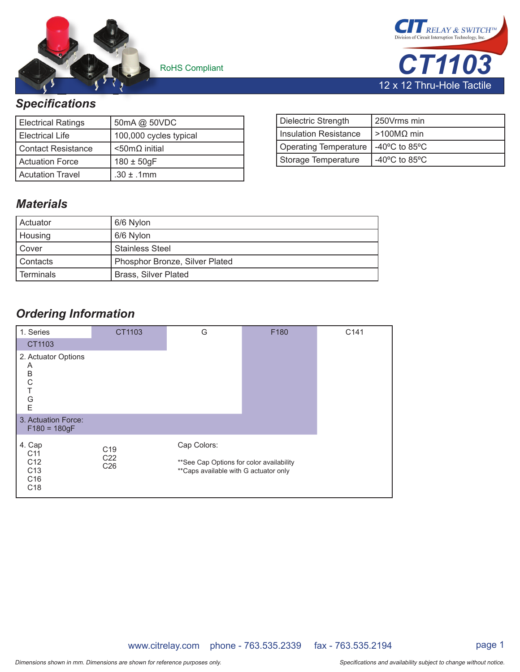

RoHS Compliant

RELAY & SWITCH *CT1103* 12 x 12 Thru-Hole Tactile

## **Specifications**

| <b>Electrical Ratings</b> | 50mA @ 50VDC             |
|---------------------------|--------------------------|
| l Electrical Life         | 100,000 cycles typical   |
| l Contact Resistance      | $<$ 50m $\Omega$ initial |
| <b>Actuation Force</b>    | $180 \pm 50$ gF          |
| <b>Acutation Travel</b>   | $.30 \pm .1$ mm          |

| Dielectric Strength     | 250Vrms min                        |
|-------------------------|------------------------------------|
| l Insulation Resistance | $\geq$ 100MΩ min                   |
| Operating Temperature   | $-40^{\circ}$ C to 85 $^{\circ}$ C |
| Storage Temperature     | -40 $\degree$ C to 85 $\degree$ C  |

## *Materials*

| Actuator  | 6/6 Nylon                      |
|-----------|--------------------------------|
| Housing   | 6/6 Nylon                      |
| Cover     | <b>Stainless Steel</b>         |
| Contacts  | Phosphor Bronze, Silver Plated |
| Terminals | <b>Brass, Silver Plated</b>    |

# *Ordering Information*

| 1. Series                                                                                             | CT1103                                                | G                                                                                                  | F180 | C141 |
|-------------------------------------------------------------------------------------------------------|-------------------------------------------------------|----------------------------------------------------------------------------------------------------|------|------|
| CT1103                                                                                                |                                                       |                                                                                                    |      |      |
| 2. Actuator Options<br>Α<br>B<br>$\mathsf C$<br>$\top$<br>G<br>E                                      |                                                       |                                                                                                    |      |      |
| 3. Actuation Force:<br>$F180 = 180gF$                                                                 |                                                       |                                                                                                    |      |      |
| 4. Cap<br>C <sub>11</sub><br>C <sub>12</sub><br>C <sub>13</sub><br>C <sub>16</sub><br>C <sub>18</sub> | C <sub>19</sub><br>C <sub>22</sub><br>C <sub>26</sub> | Cap Colors:<br>** See Cap Options for color availability<br>** Caps available with G actuator only |      |      |

www.citrelay.com phone - 763.535.2339 fax - 763.535.2194 page 1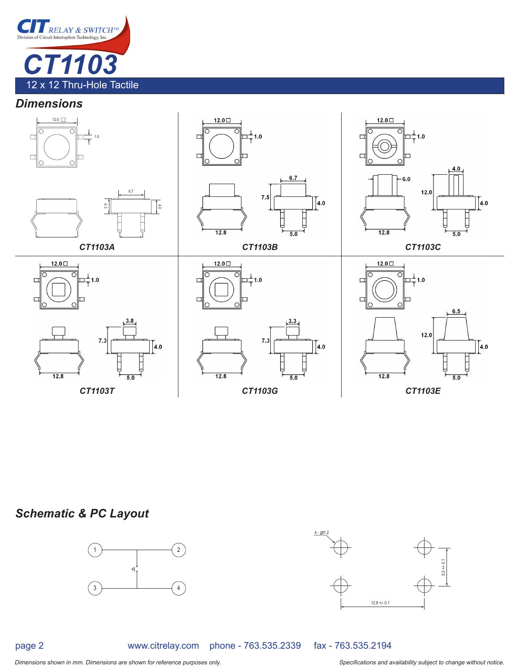

### *Dimensions*



## *Schematic & PC Layout*



page 2

www.citrelay.com phone - 763.535.2339 fax - 763.535.2194

5.0 +/- 0.1